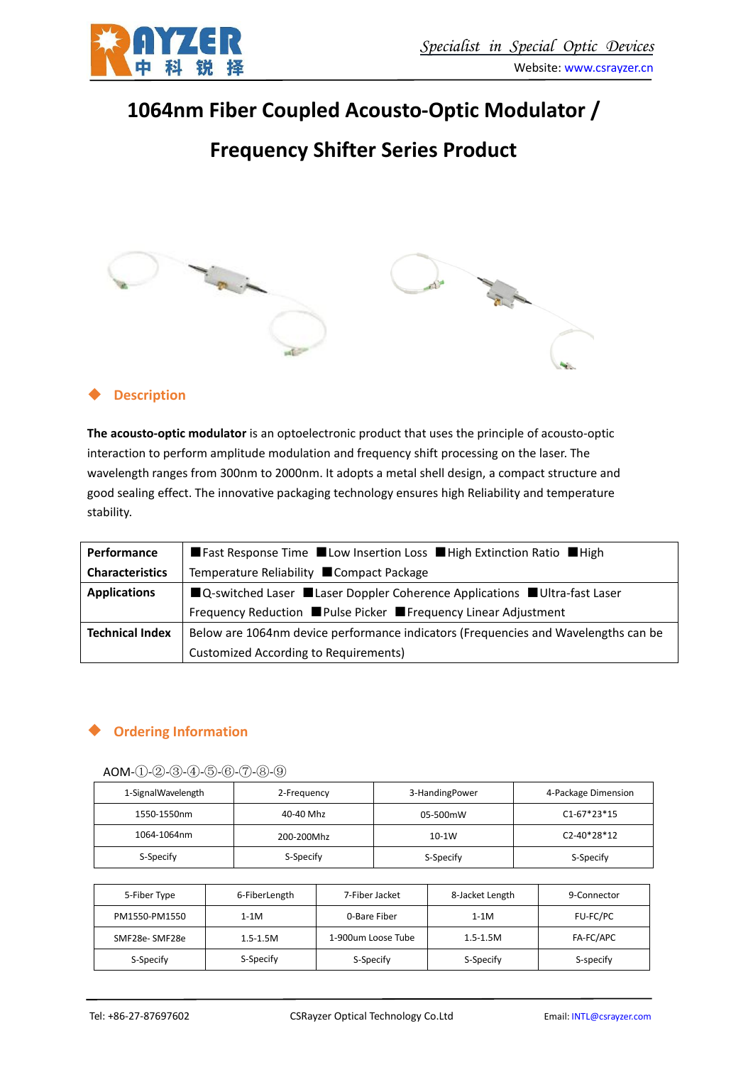

## **1064nm Fiber Coupled Acousto-Optic Modulator /**

# **Frequency Shifter Series Product**



#### **Description**

**The acousto-optic modulator** is an optoelectronic product that uses the principle of acousto-optic interaction to perform amplitude modulation and frequency shift processing on the laser. The wavelength ranges from 300nm to 2000nm. It adopts a metal shell design, a compact structure and good sealing effect. The innovative packaging technology ensures high Reliability and temperature stability.

| Performance            | ■ Fast Response Time ■ Low Insertion Loss ■ High Extinction Ratio ■ High           |
|------------------------|------------------------------------------------------------------------------------|
| <b>Characteristics</b> | Temperature Reliability ■ Compact Package                                          |
| <b>Applications</b>    | ■Q-switched Laser ■Laser Doppler Coherence Applications ■Ultra-fast Laser          |
|                        | Frequency Reduction ■ Pulse Picker ■ Frequency Linear Adjustment                   |
| <b>Technical Index</b> | Below are 1064nm device performance indicators (Frequencies and Wavelengths can be |
|                        | Customized According to Requirements)                                              |

### **Ordering Information**

#### AOM-①-②-③-④-⑤-⑥-⑦-⑧-⑨

| 1-SignalWavelength | 2-Frequency | 3-HandingPower | 4-Package Dimension |  |
|--------------------|-------------|----------------|---------------------|--|
| 1550-1550nm        | 40-40 Mhz   | 05-500mW       | $C1-67*23*15$       |  |
| 1064-1064nm        | 200-200Mhz  | 10-1W          | C2-40*28*12         |  |
| S-Specify          | S-Specify   | S-Specify      | S-Specify           |  |

| 5-Fiber Type  | 6-FiberLength | 7-Fiber Jacket     | 8-Jacket Length | 9-Connector |
|---------------|---------------|--------------------|-----------------|-------------|
| PM1550-PM1550 | $1-1M$        | 0-Bare Fiber       | $1-1M$          | FU-FC/PC    |
| SMF28e-SMF28e | $1.5 - 1.5M$  | 1-900um Loose Tube | $1.5 - 1.5M$    | FA-FC/APC   |
| S-Specify     | S-Specify     | S-Specify          | S-Specify       | S-specify   |